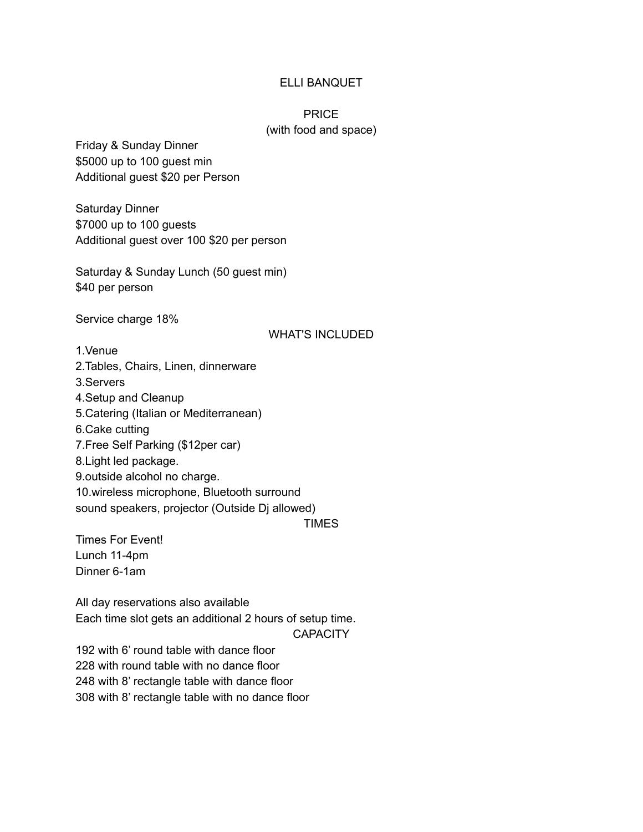### ELLI BANQUET

## PRICE (with food and space)

Friday & Sunday Dinner \$5000 up to 100 guest min Additional guest \$20 per Person

Saturday Dinner \$7000 up to 100 guests Additional guest over 100 \$20 per person

Saturday & Sunday Lunch (50 guest min) \$40 per person

Service charge 18%

#### WHAT'S INCLUDED

1.Venue 2.Tables, Chairs, Linen, dinnerware 3.Servers 4.Setup and Cleanup 5.Catering (Italian or Mediterranean) 6.Cake cutting 7.Free Self Parking (\$12per car) 8.Light led package. 9.outside alcohol no charge. 10.wireless microphone, Bluetooth surround sound speakers, projector (Outside Dj allowed)

TIMES

Times For Event! Lunch 11-4pm Dinner 6-1am

All day reservations also available Each time slot gets an additional 2 hours of setup time.

**CAPACITY** 

 with 6' round table with dance floor with round table with no dance floor with 8' rectangle table with dance floor with 8' rectangle table with no dance floor